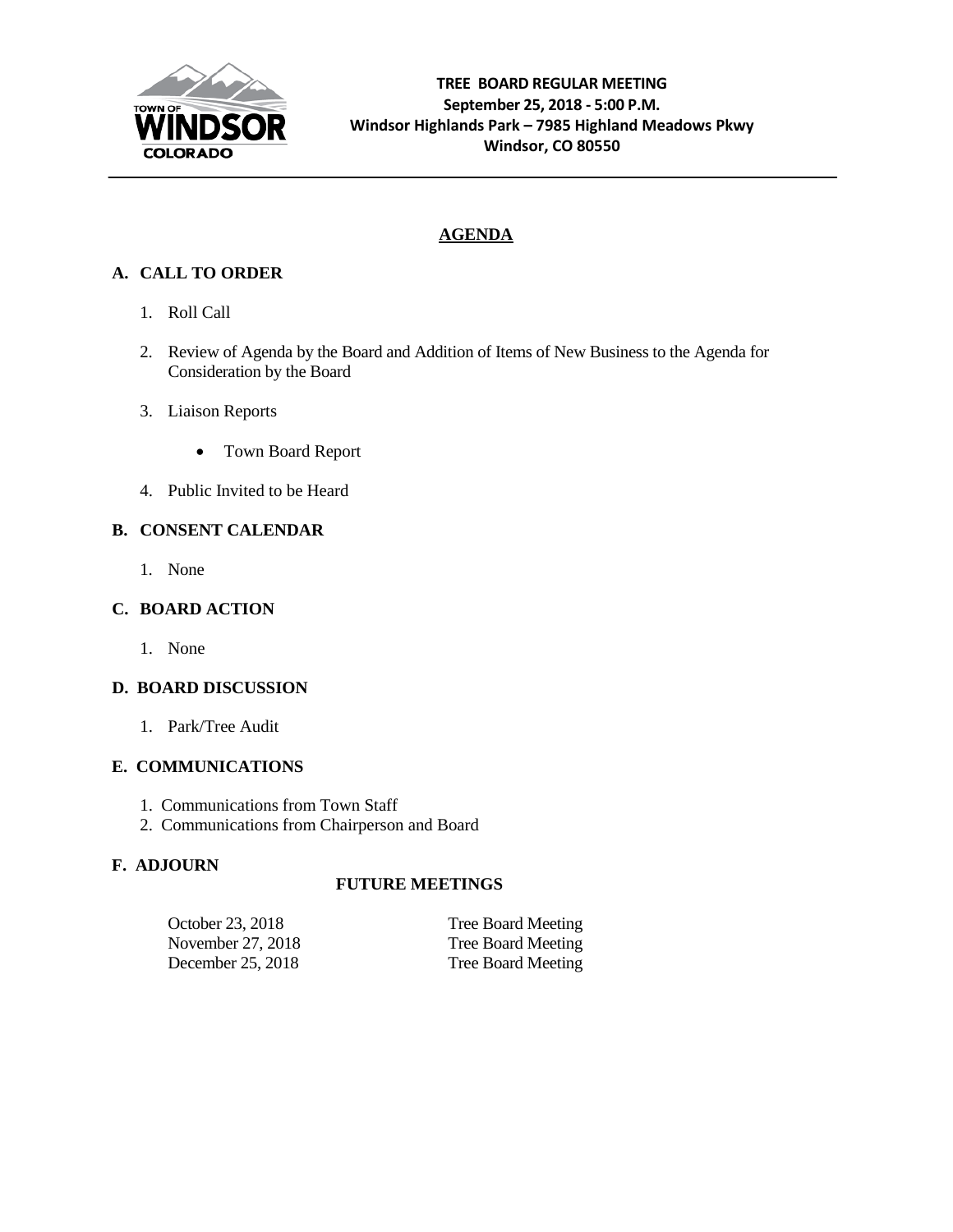

# **AGENDA**

# **A. CALL TO ORDER**

- 1. Roll Call
- 2. Review of Agenda by the Board and Addition of Items of New Business to the Agenda for Consideration by the Board
- 3. Liaison Reports
	- Town Board Report
- 4. Public Invited to be Heard

## **B. CONSENT CALENDAR**

1. None

#### **C. BOARD ACTION**

1. None

# **D. BOARD DISCUSSION**

1. Park/Tree Audit

#### **E. COMMUNICATIONS**

- 1. Communications from Town Staff
- 2. Communications from Chairperson and Board

#### **F. ADJOURN**

#### **FUTURE MEETINGS**

| October 23, 2018  | Tree Board Meeting        |
|-------------------|---------------------------|
| November 27, 2018 | <b>Tree Board Meeting</b> |
| December 25, 2018 | Tree Board Meeting        |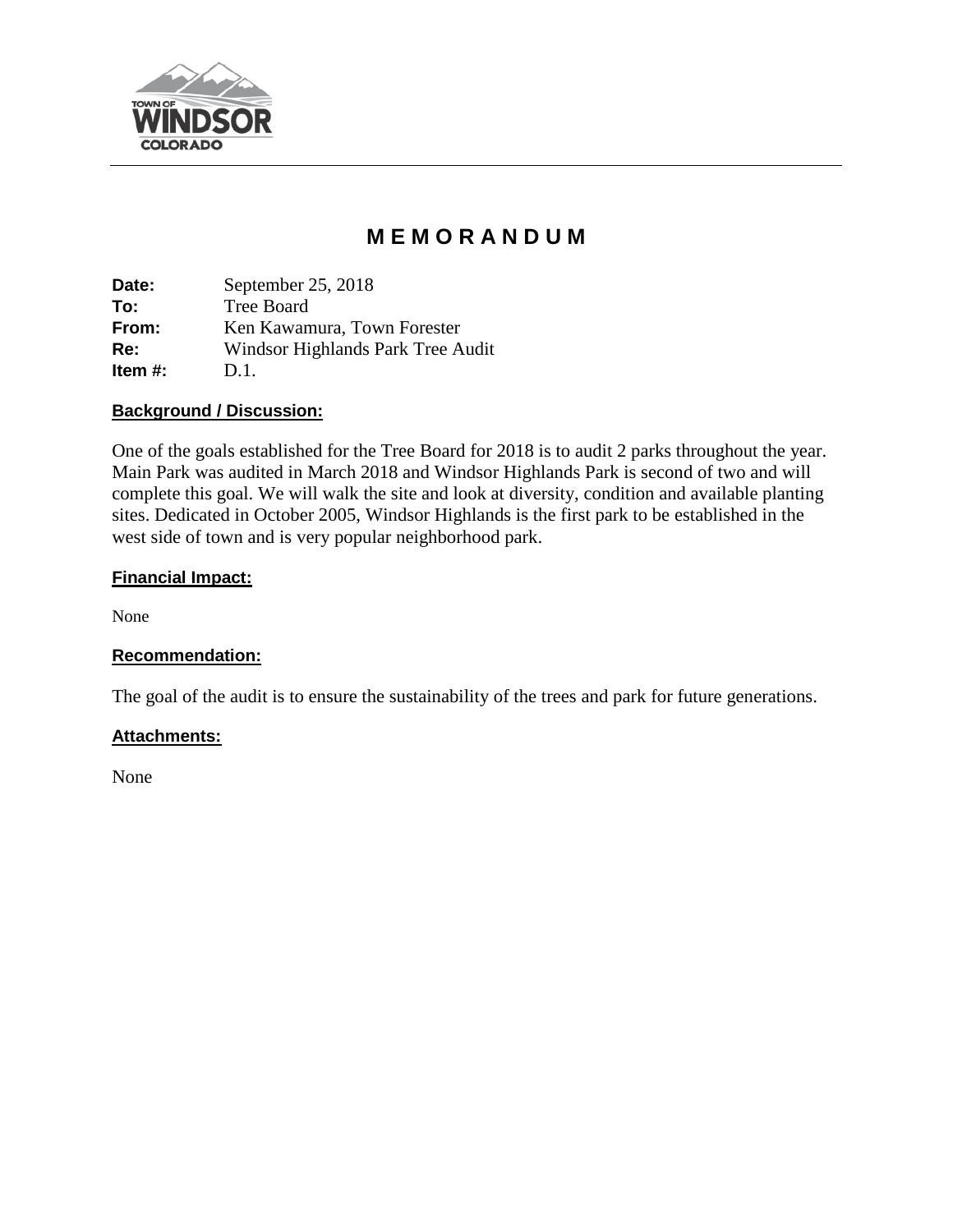

# **M E M O R A N D U M**

**Date:** September 25, 2018 **To:** Tree Board **From:** Ken Kawamura, Town Forester **Re:** Windsor Highlands Park Tree Audit **Item #:** D.1.

## **Background / Discussion:**

One of the goals established for the Tree Board for 2018 is to audit 2 parks throughout the year. Main Park was audited in March 2018 and Windsor Highlands Park is second of two and will complete this goal. We will walk the site and look at diversity, condition and available planting sites. Dedicated in October 2005, Windsor Highlands is the first park to be established in the west side of town and is very popular neighborhood park.

## **Financial Impact:**

None

# **Recommendation:**

The goal of the audit is to ensure the sustainability of the trees and park for future generations.

#### **Attachments:**

None